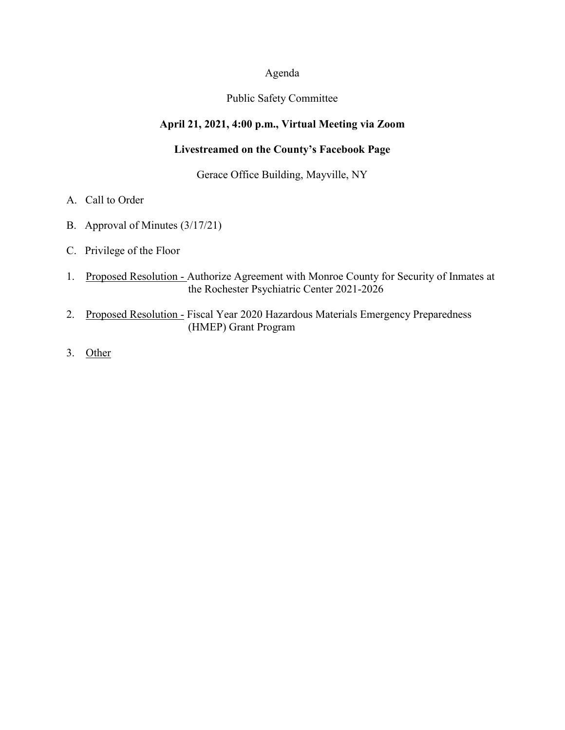#### Agenda

### Public Safety Committee

## **April 21, 2021, 4:00 p.m., Virtual Meeting via Zoom**

# **Livestreamed on the County's Facebook Page**

## Gerace Office Building, Mayville, NY

- A. Call to Order
- B. Approval of Minutes (3/17/21)
- C. Privilege of the Floor
- 1. Proposed Resolution Authorize Agreement with Monroe County for Security of Inmates at the Rochester Psychiatric Center 2021-2026
- 2. Proposed Resolution Fiscal Year 2020 Hazardous Materials Emergency Preparedness (HMEP) Grant Program
- 3. Other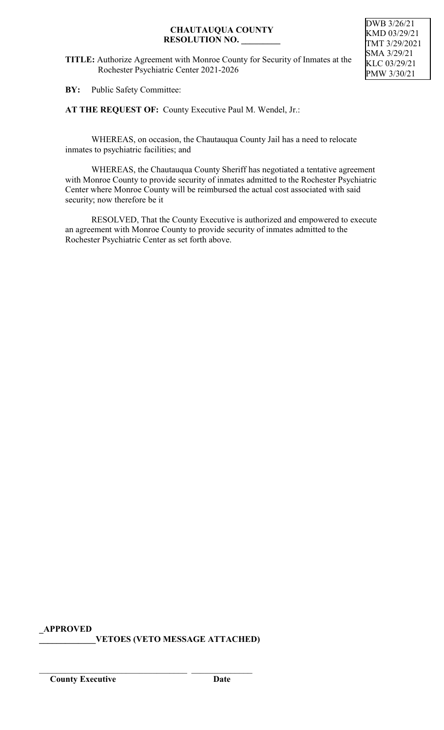**TITLE:** Authorize Agreement with Monroe County for Security of Inmates at the Rochester Psychiatric Center 2021-2026

DWB 3/26/21 KMD 03/29/21 TMT 3/29/2021 SMA 3/29/21 KLC 03/29/21 PMW 3/30/21

**BY:** Public Safety Committee:

**AT THE REQUEST OF:** County Executive Paul M. Wendel, Jr.:

WHEREAS, on occasion, the Chautauqua County Jail has a need to relocate inmates to psychiatric facilities; and

WHEREAS, the Chautauqua County Sheriff has negotiated a tentative agreement with Monroe County to provide security of inmates admitted to the Rochester Psychiatric Center where Monroe County will be reimbursed the actual cost associated with said security; now therefore be it

RESOLVED, That the County Executive is authorized and empowered to execute an agreement with Monroe County to provide security of inmates admitted to the Rochester Psychiatric Center as set forth above.

**\_APPROVED**

**\_\_\_\_\_\_\_\_\_\_\_\_\_VETOES (VETO MESSAGE ATTACHED)**

\_\_\_\_\_\_\_\_\_\_\_\_\_\_\_\_\_\_\_\_\_\_\_\_\_\_\_\_\_\_\_\_\_\_ \_\_\_\_\_\_\_\_\_\_\_\_\_\_

**County Executive Date**